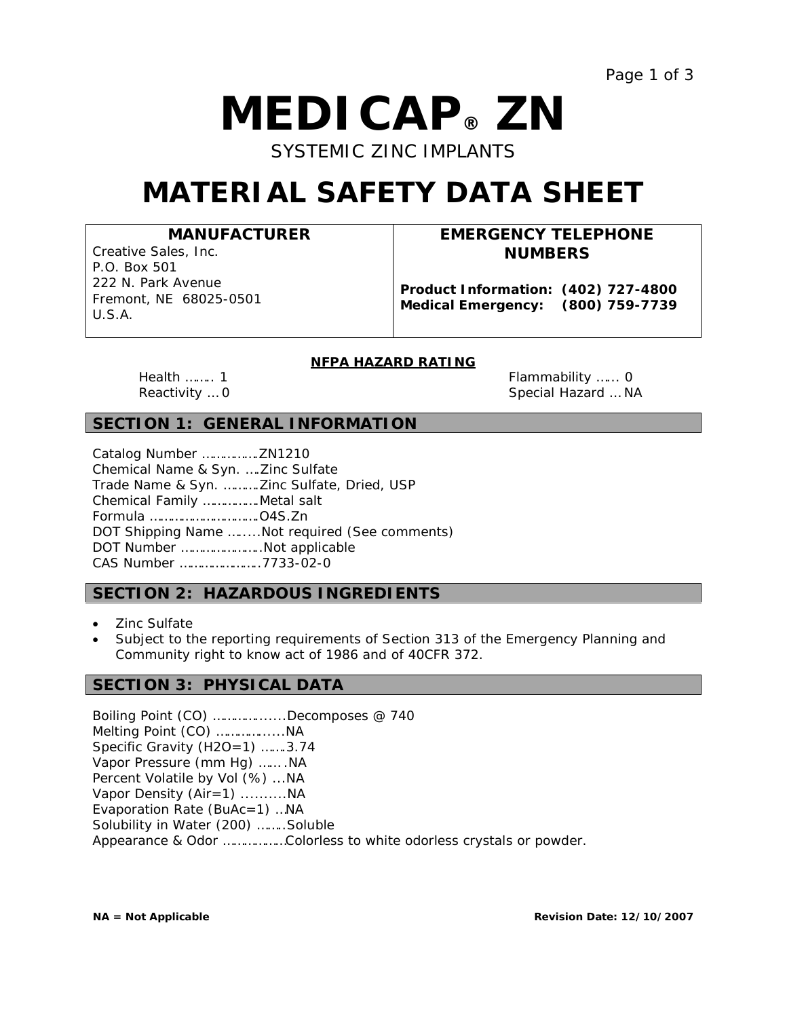# *M***EDIC***A***P® ZN**

SYSTEMIC ZINC IMPLANTS

# **MATERIAL SAFETY DATA SHEET**

**MANUFACTURER**

Creative Sales, Inc. P.O. Box 501 222 N. Park Avenue Fremont, NE 68025-0501 U.S.A.

# **EMERGENCY TELEPHONE NUMBERS**

**Product Information: (402) 727-4800 Medical Emergency: (800) 759-7739**

# **NFPA HAZARD RATING**

Health …….. 1 Flammability …... 0 Reactivity … 0 Special Hazard … NA

# **SECTION 1: GENERAL INFORMATION**

| Chemical Name & Syn.  Zinc Sulfate         |                                               |
|--------------------------------------------|-----------------------------------------------|
| Trade Name & Syn. Zinc Sulfate, Dried, USP |                                               |
| Chemical Family Metal salt                 |                                               |
|                                            |                                               |
|                                            | DOT Shipping Name Not required (See comments) |
| DOT Number Not applicable                  |                                               |
| CAS Number 7733-02-0                       |                                               |

# **SECTION 2: HAZARDOUS INGREDIENTS**

- Zinc Sulfate
- Subject to the reporting requirements of Section 313 of the Emergency Planning and Community right to know act of 1986 and of 40CFR 372.

# **SECTION 3: PHYSICAL DATA**

Boiling Point (CO) ………….......Decomposes @ 740 Melting Point (CO) …………......NA Specific Gravity (H2O=1) …….3.74 Vapor Pressure (mm Hg) …… .NA Percent Volatile by Vol (%) ...NA Vapor Density (Air=1) ..........NA Evaporation Rate (BuAc=1) …NA Solubility in Water (200) ……..Soluble Appearance & Odor ………………Colorless to white odorless crystals or powder.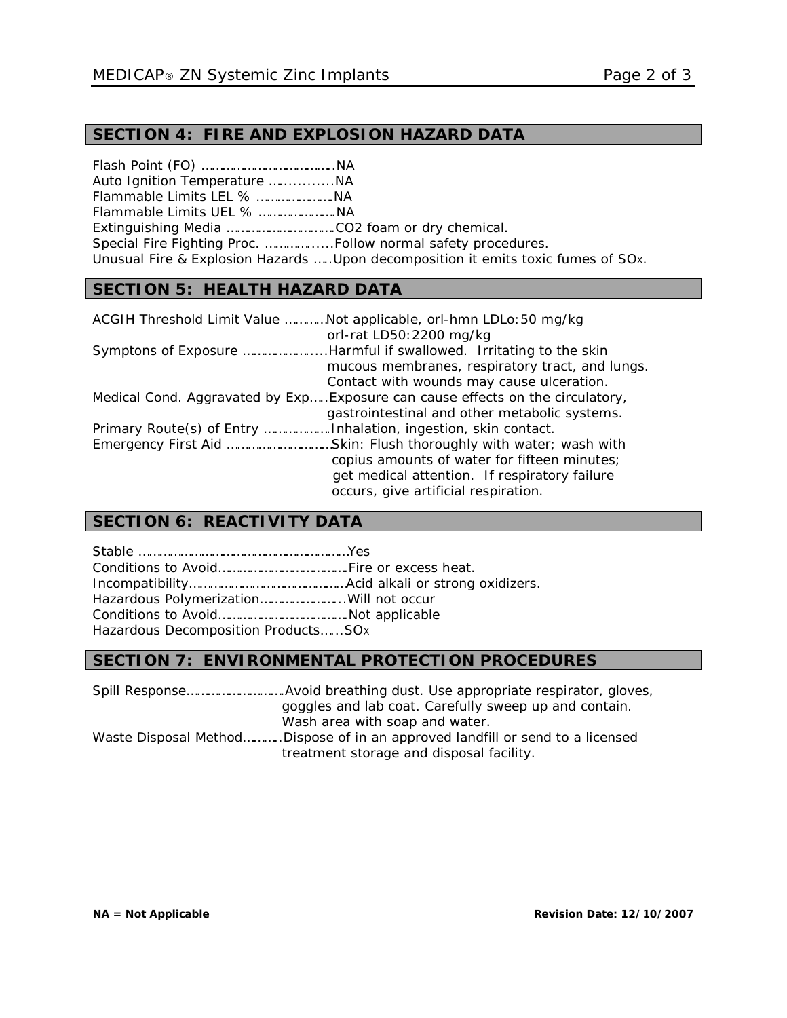# **SECTION 4: FIRE AND EXPLOSION HAZARD DATA**

Flash Point (FO) ………………………………..NA Auto Ignition Temperature …............NA Flammable Limits LEL % ………………….NA Flammable Limits UEL % ………………….NA Extinguishing Media ………………………….CO2 foam or dry chemical. Special Fire Fighting Proc. …………......Follow normal safety procedures. Unusual Fire & Explosion Hazards …..Upon decomposition it emits toxic fumes of SOX.

# **SECTION 5: HEALTH HAZARD DATA**

| ACGIH Threshold Limit Value Not applicable, orl-hmn LDLo: 50 mg/kg             |
|--------------------------------------------------------------------------------|
| orl-rat LD50: 2200 mg/kg                                                       |
|                                                                                |
| mucous membranes, respiratory tract, and lungs.                                |
| Contact with wounds may cause ulceration.                                      |
| Medical Cond. Aggravated by Exp Exposure can cause effects on the circulatory, |
| gastrointestinal and other metabolic systems.                                  |
|                                                                                |
| Emergency First Aid Skin: Flush thoroughly with water; wash with               |
| copius amounts of water for fifteen minutes;                                   |
| get medical attention. If respiratory failure                                  |
| occurs, give artificial respiration.                                           |

# **SECTION 6: REACTIVITY DATA**

| Hazardous Polymerization Will not occur |  |
|-----------------------------------------|--|
|                                         |  |
| Hazardous Decomposition ProductsSOx     |  |

# **SECTION 7: ENVIRONMENTAL PROTECTION PROCEDURES**

Spill Response……………………….Avoid breathing dust. Use appropriate respirator, gloves, goggles and lab coat. Carefully sweep up and contain. Wash area with soap and water. Waste Disposal Method………..Dispose of in an approved landfill or send to a licensed treatment storage and disposal facility.